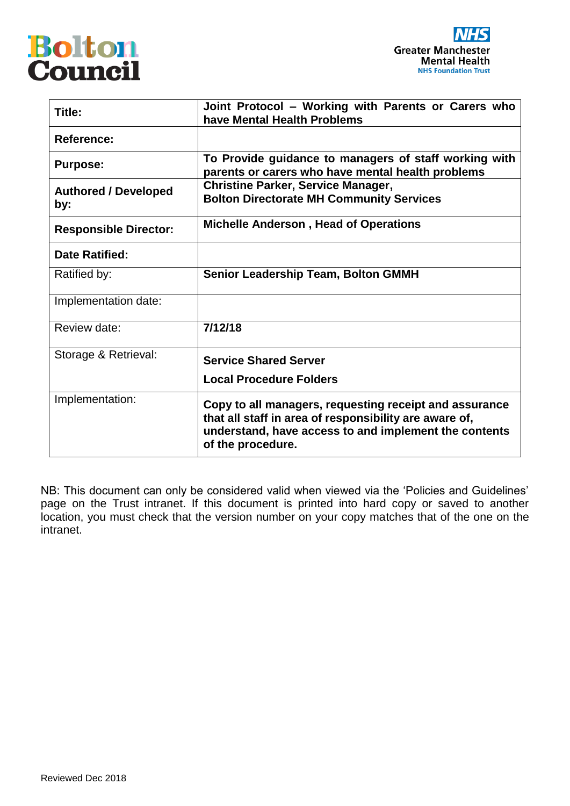



| Title:                             | Joint Protocol - Working with Parents or Carers who<br>have Mental Health Problems                                                                                                             |
|------------------------------------|------------------------------------------------------------------------------------------------------------------------------------------------------------------------------------------------|
| <b>Reference:</b>                  |                                                                                                                                                                                                |
| <b>Purpose:</b>                    | To Provide guidance to managers of staff working with<br>parents or carers who have mental health problems                                                                                     |
| <b>Authored / Developed</b><br>by: | <b>Christine Parker, Service Manager,</b><br><b>Bolton Directorate MH Community Services</b>                                                                                                   |
| <b>Responsible Director:</b>       | <b>Michelle Anderson, Head of Operations</b>                                                                                                                                                   |
| <b>Date Ratified:</b>              |                                                                                                                                                                                                |
| Ratified by:                       | <b>Senior Leadership Team, Bolton GMMH</b>                                                                                                                                                     |
| Implementation date:               |                                                                                                                                                                                                |
| Review date:                       | 7/12/18                                                                                                                                                                                        |
| Storage & Retrieval:               | <b>Service Shared Server</b>                                                                                                                                                                   |
|                                    | <b>Local Procedure Folders</b>                                                                                                                                                                 |
| Implementation:                    | Copy to all managers, requesting receipt and assurance<br>that all staff in area of responsibility are aware of,<br>understand, have access to and implement the contents<br>of the procedure. |

NB: This document can only be considered valid when viewed via the 'Policies and Guidelines' page on the Trust intranet. If this document is printed into hard copy or saved to another location, you must check that the version number on your copy matches that of the one on the intranet.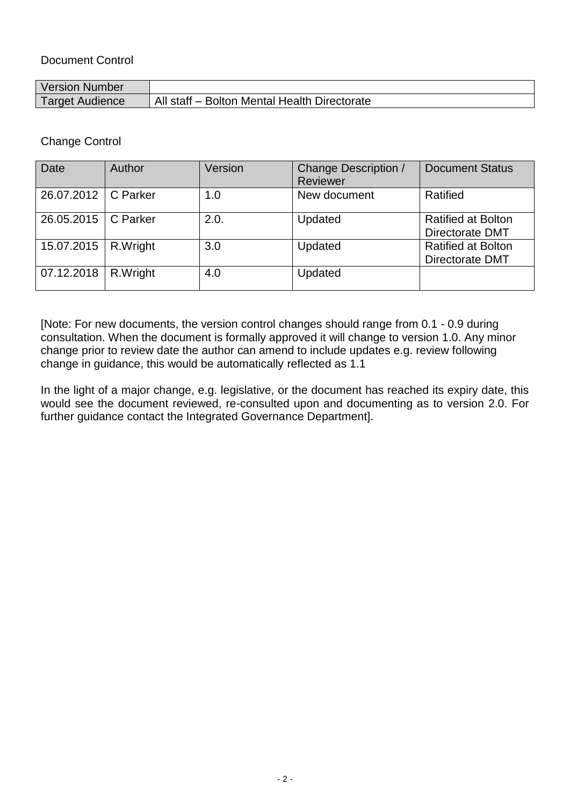## Document Control

| <b>Version Number</b> |                                              |
|-----------------------|----------------------------------------------|
| Target Audience       | All staff - Bolton Mental Health Directorate |

Change Control

| <b>Date</b>           | Author   | Version | Change Description /<br>Reviewer | <b>Document Status</b>                              |
|-----------------------|----------|---------|----------------------------------|-----------------------------------------------------|
| 26.07.2012   C Parker |          | 1.0     | New document                     | Ratified                                            |
| 26.05.2015            | C Parker | 2.0.    | Updated                          | <b>Ratified at Bolton</b><br><b>Directorate DMT</b> |
| 15.07.2015            | R.Wright | 3.0     | Updated                          | <b>Ratified at Bolton</b><br><b>Directorate DMT</b> |
| 07.12.2018            | R.Wright | 4.0     | Updated                          |                                                     |

[Note: For new documents, the version control changes should range from 0.1 - 0.9 during consultation. When the document is formally approved it will change to version 1.0. Any minor change prior to review date the author can amend to include updates e.g. review following change in guidance, this would be automatically reflected as 1.1

In the light of a major change, e.g. legislative, or the document has reached its expiry date, this would see the document reviewed, re-consulted upon and documenting as to version 2.0. For further guidance contact the Integrated Governance Department].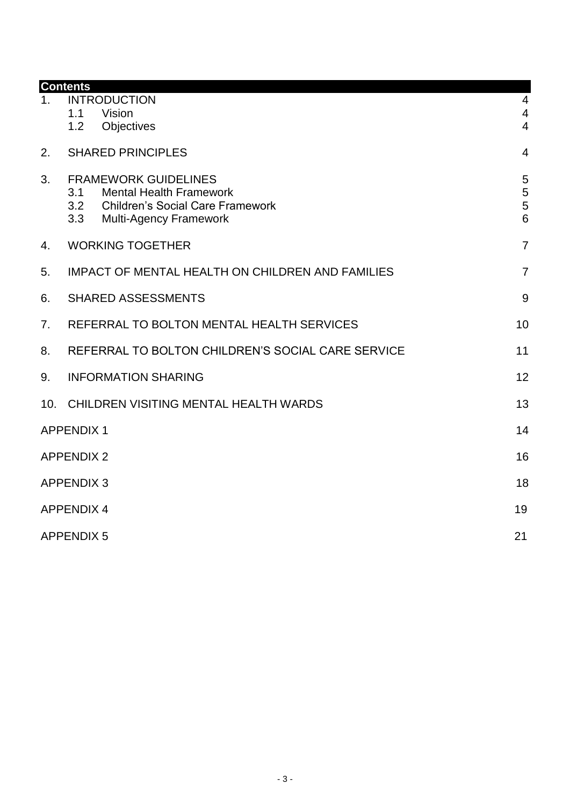|     | <b>Contents</b>                                                                                                                                                |                                            |
|-----|----------------------------------------------------------------------------------------------------------------------------------------------------------------|--------------------------------------------|
| 1.  | <b>INTRODUCTION</b><br>Vision<br>1.1                                                                                                                           | $\overline{4}$<br>$\overline{4}$           |
|     | 1.2<br>Objectives                                                                                                                                              | $\overline{4}$                             |
| 2.  | <b>SHARED PRINCIPLES</b>                                                                                                                                       | $\overline{4}$                             |
| 3.  | <b>FRAMEWORK GUIDELINES</b><br><b>Mental Health Framework</b><br>3.1<br>3.2<br><b>Children's Social Care Framework</b><br>3.3<br><b>Multi-Agency Framework</b> | $\overline{5}$<br>5<br>5<br>$6\phantom{a}$ |
| 4.  | <b>WORKING TOGETHER</b>                                                                                                                                        | $\overline{7}$                             |
| 5.  | <b>IMPACT OF MENTAL HEALTH ON CHILDREN AND FAMILIES</b>                                                                                                        | $\overline{7}$                             |
| 6.  | <b>SHARED ASSESSMENTS</b>                                                                                                                                      | 9                                          |
| 7.  | REFERRAL TO BOLTON MENTAL HEALTH SERVICES                                                                                                                      | 10                                         |
| 8.  | REFERRAL TO BOLTON CHILDREN'S SOCIAL CARE SERVICE                                                                                                              | 11                                         |
| 9.  | <b>INFORMATION SHARING</b>                                                                                                                                     | 12                                         |
| 10. | CHILDREN VISITING MENTAL HEALTH WARDS                                                                                                                          | 13                                         |
|     | <b>APPENDIX 1</b>                                                                                                                                              | 14                                         |
|     | <b>APPENDIX 2</b>                                                                                                                                              | 16                                         |
|     | <b>APPENDIX 3</b>                                                                                                                                              | 18                                         |
|     | <b>APPENDIX 4</b>                                                                                                                                              | 19                                         |
|     | <b>APPENDIX 5</b>                                                                                                                                              | 21                                         |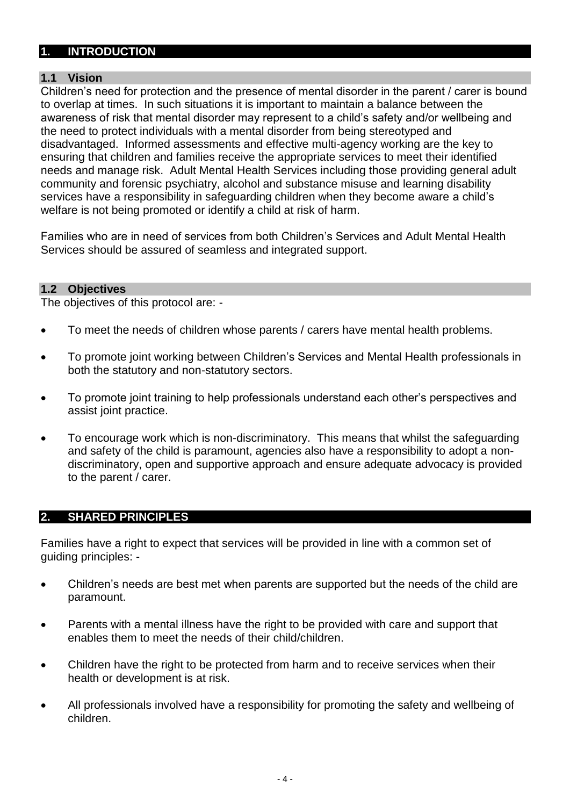## <span id="page-3-0"></span>**1. INTRODUCTION**

## <span id="page-3-1"></span>**1.1 Vision**

Children's need for protection and the presence of mental disorder in the parent / carer is bound to overlap at times. In such situations it is important to maintain a balance between the awareness of risk that mental disorder may represent to a child's safety and/or wellbeing and the need to protect individuals with a mental disorder from being stereotyped and disadvantaged. Informed assessments and effective multi-agency working are the key to ensuring that children and families receive the appropriate services to meet their identified needs and manage risk. Adult Mental Health Services including those providing general adult community and forensic psychiatry, alcohol and substance misuse and learning disability services have a responsibility in safeguarding children when they become aware a child's welfare is not being promoted or identify a child at risk of harm.

Families who are in need of services from both Children's Services and Adult Mental Health Services should be assured of seamless and integrated support.

#### <span id="page-3-2"></span>**1.2 Objectives**

The objectives of this protocol are: -

- To meet the needs of children whose parents / carers have mental health problems.
- To promote joint working between Children's Services and Mental Health professionals in both the statutory and non-statutory sectors.
- To promote joint training to help professionals understand each other's perspectives and assist joint practice.
- To encourage work which is non-discriminatory. This means that whilst the safeguarding and safety of the child is paramount, agencies also have a responsibility to adopt a nondiscriminatory, open and supportive approach and ensure adequate advocacy is provided to the parent / carer.

#### <span id="page-3-3"></span>**2. SHARED PRINCIPLES**

Families have a right to expect that services will be provided in line with a common set of guiding principles: -

- Children's needs are best met when parents are supported but the needs of the child are paramount.
- Parents with a mental illness have the right to be provided with care and support that enables them to meet the needs of their child/children.
- Children have the right to be protected from harm and to receive services when their health or development is at risk.
- All professionals involved have a responsibility for promoting the safety and wellbeing of children.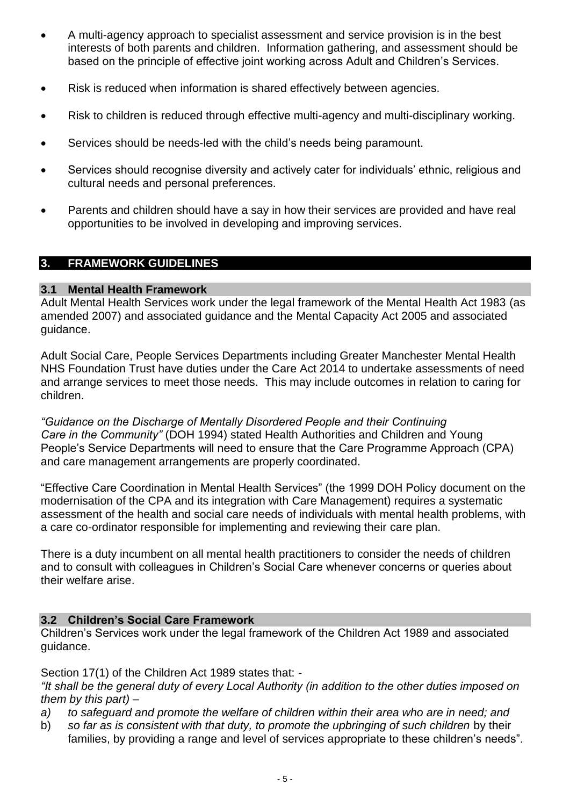- A multi-agency approach to specialist assessment and service provision is in the best interests of both parents and children. Information gathering, and assessment should be based on the principle of effective joint working across Adult and Children's Services.
- Risk is reduced when information is shared effectively between agencies.
- Risk to children is reduced through effective multi-agency and multi-disciplinary working.
- Services should be needs-led with the child's needs being paramount.
- Services should recognise diversity and actively cater for individuals' ethnic, religious and cultural needs and personal preferences.
- Parents and children should have a say in how their services are provided and have real opportunities to be involved in developing and improving services.

## <span id="page-4-0"></span>**3. FRAMEWORK GUIDELINES**

#### <span id="page-4-1"></span>**3.1 Mental Health Framework**

Adult Mental Health Services work under the legal framework of the Mental Health Act 1983 (as amended 2007) and associated guidance and the Mental Capacity Act 2005 and associated guidance.

Adult Social Care, People Services Departments including Greater Manchester Mental Health NHS Foundation Trust have duties under the Care Act 2014 to undertake assessments of need and arrange services to meet those needs. This may include outcomes in relation to caring for children.

*"Guidance on the Discharge of Mentally Disordered People and their Continuing Care in the Community"* (DOH 1994) stated Health Authorities and Children and Young People's Service Departments will need to ensure that the Care Programme Approach (CPA) and care management arrangements are properly coordinated.

"Effective Care Coordination in Mental Health Services" (the 1999 DOH Policy document on the modernisation of the CPA and its integration with Care Management) requires a systematic assessment of the health and social care needs of individuals with mental health problems, with a care co-ordinator responsible for implementing and reviewing their care plan.

There is a duty incumbent on all mental health practitioners to consider the needs of children and to consult with colleagues in Children's Social Care whenever concerns or queries about their welfare arise.

#### <span id="page-4-2"></span>**3.2 Children's Social Care Framework**

Children's Services work under the legal framework of the Children Act 1989 and associated guidance.

Section 17(1) of the Children Act 1989 states that: -

*"It shall be the general duty of every Local Authority (in addition to the other duties imposed on them by this part) –*

- *a) to safeguard and promote the welfare of children within their area who are in need; and*
- b) *so far as is consistent with that duty, to promote the upbringing of such children* by their families, by providing a range and level of services appropriate to these children's needs".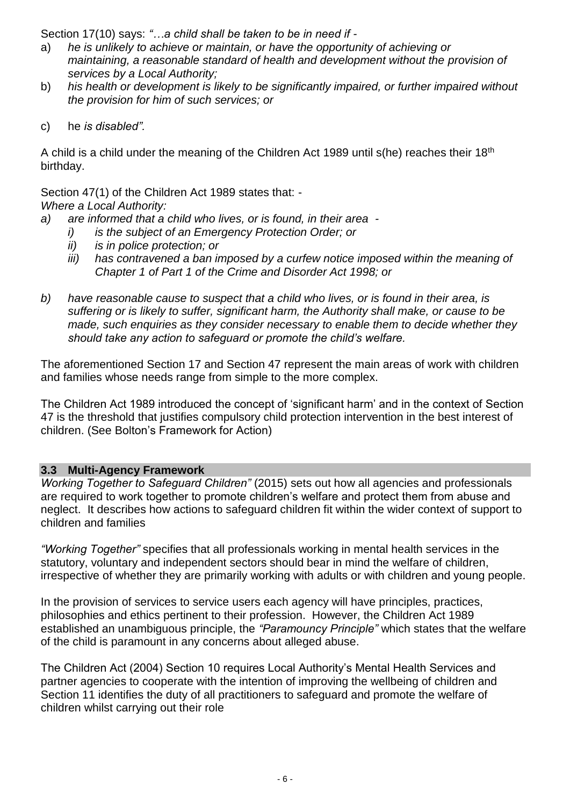Section 17(10) says: *"…a child shall be taken to be in need if -*

- a) *he is unlikely to achieve or maintain, or have the opportunity of achieving or maintaining, a reasonable standard of health and development without the provision of services by a Local Authority;*
- b) *his health or development is likely to be significantly impaired, or further impaired without the provision for him of such services; or*
- c) he *is disabled".*

A child is a child under the meaning of the Children Act 1989 until s(he) reaches their 18th birthday.

Section 47(1) of the Children Act 1989 states that: -

*Where a Local Authority:*

- *a) are informed that a child who lives, or is found, in their area* 
	- *i) is the subject of an Emergency Protection Order; or*
	- *ii) is in police protection; or*
	- *iii) has contravened a ban imposed by a curfew notice imposed within the meaning of Chapter 1 of Part 1 of the Crime and Disorder Act 1998; or*
- *b) have reasonable cause to suspect that a child who lives, or is found in their area, is suffering or is likely to suffer, significant harm, the Authority shall make, or cause to be made, such enquiries as they consider necessary to enable them to decide whether they should take any action to safeguard or promote the child's welfare.*

The aforementioned Section 17 and Section 47 represent the main areas of work with children and families whose needs range from simple to the more complex.

The Children Act 1989 introduced the concept of 'significant harm' and in the context of Section 47 is the threshold that justifies compulsory child protection intervention in the best interest of children. (See Bolton's Framework for Action)

#### <span id="page-5-0"></span>**3.3 Multi-Agency Framework**

*Working Together to Safeguard Children"* (2015) sets out how all agencies and professionals are required to work together to promote children's welfare and protect them from abuse and neglect. It describes how actions to safeguard children fit within the wider context of support to children and families

*"Working Together"* specifies that all professionals working in mental health services in the statutory, voluntary and independent sectors should bear in mind the welfare of children, irrespective of whether they are primarily working with adults or with children and young people.

In the provision of services to service users each agency will have principles, practices, philosophies and ethics pertinent to their profession. However, the Children Act 1989 established an unambiguous principle, the *"Paramouncy Principle"* which states that the welfare of the child is paramount in any concerns about alleged abuse.

The Children Act (2004) Section 10 requires Local Authority's Mental Health Services and partner agencies to cooperate with the intention of improving the wellbeing of children and Section 11 identifies the duty of all practitioners to safeguard and promote the welfare of children whilst carrying out their role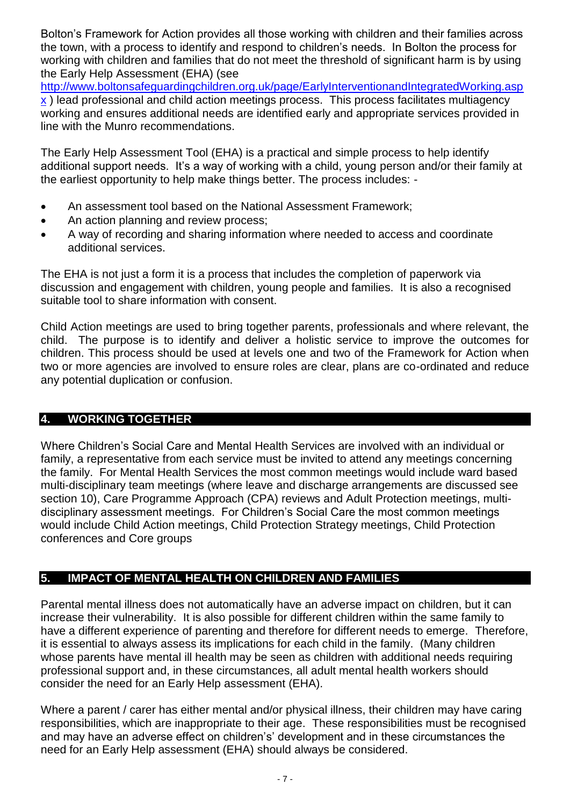Bolton's Framework for Action provides all those working with children and their families across the town, with a process to identify and respond to children's needs. In Bolton the process for working with children and families that do not meet the threshold of significant harm is by using the Early Help Assessment (EHA) (see

[http://www.boltonsafeguardingchildren.org.uk/page/EarlyInterventionandIntegratedWorking.asp](http://www.boltonsafeguardingchildren.org.uk/page/EarlyInterventionandIntegratedWorking.aspx)

[x](http://www.boltonsafeguardingchildren.org.uk/page/EarlyInterventionandIntegratedWorking.aspx) ) lead professional and child action meetings process. This process facilitates multiagency working and ensures additional needs are identified early and appropriate services provided in line with the Munro recommendations.

The Early Help Assessment Tool (EHA) is a practical and simple process to help identify additional support needs. It's a way of working with a child, young person and/or their family at the earliest opportunity to help make things better. The process includes: -

- An assessment tool based on the National Assessment Framework;
- An action planning and review process;
- A way of recording and sharing information where needed to access and coordinate additional services.

The EHA is not just a form it is a process that includes the completion of paperwork via discussion and engagement with children, young people and families. It is also a recognised suitable tool to share information with consent.

Child Action meetings are used to bring together parents, professionals and where relevant, the child. The purpose is to identify and deliver a holistic service to improve the outcomes for children. This process should be used at levels one and two of the Framework for Action when two or more agencies are involved to ensure roles are clear, plans are co-ordinated and reduce any potential duplication or confusion.

## <span id="page-6-0"></span>**4. WORKING TOGETHER**

Where Children's Social Care and Mental Health Services are involved with an individual or family, a representative from each service must be invited to attend any meetings concerning the family. For Mental Health Services the most common meetings would include ward based multi-disciplinary team meetings (where leave and discharge arrangements are discussed see section 10), Care Programme Approach (CPA) reviews and Adult Protection meetings, multidisciplinary assessment meetings. For Children's Social Care the most common meetings would include Child Action meetings, Child Protection Strategy meetings, Child Protection conferences and Core groups

## <span id="page-6-1"></span>**5. IMPACT OF MENTAL HEALTH ON CHILDREN AND FAMILIES**

Parental mental illness does not automatically have an adverse impact on children, but it can increase their vulnerability. It is also possible for different children within the same family to have a different experience of parenting and therefore for different needs to emerge. Therefore, it is essential to always assess its implications for each child in the family. (Many children whose parents have mental ill health may be seen as children with additional needs requiring professional support and, in these circumstances, all adult mental health workers should consider the need for an Early Help assessment (EHA).

Where a parent / carer has either mental and/or physical illness, their children may have caring responsibilities, which are inappropriate to their age. These responsibilities must be recognised and may have an adverse effect on children's' development and in these circumstances the need for an Early Help assessment (EHA) should always be considered.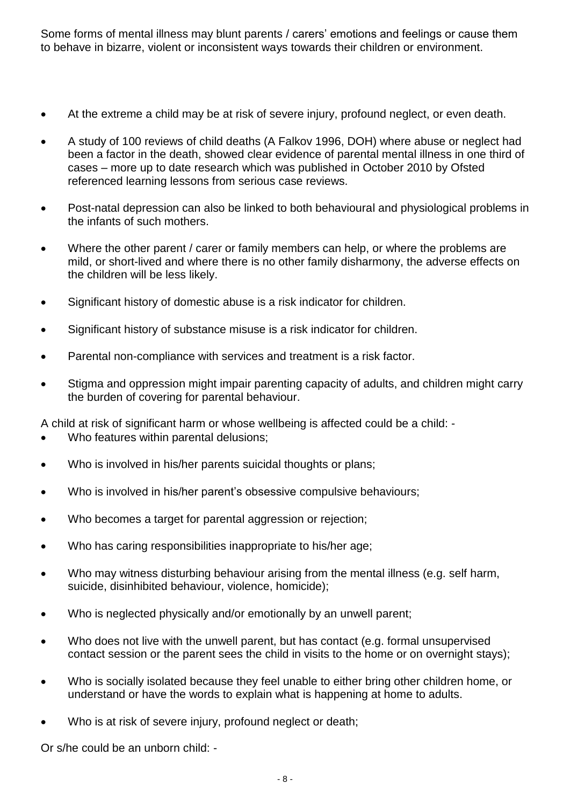Some forms of mental illness may blunt parents / carers' emotions and feelings or cause them to behave in bizarre, violent or inconsistent ways towards their children or environment.

- At the extreme a child may be at risk of severe injury, profound neglect, or even death.
- A study of 100 reviews of child deaths (A Falkov 1996, DOH) where abuse or neglect had been a factor in the death, showed clear evidence of parental mental illness in one third of cases – more up to date research which was published in October 2010 by Ofsted referenced learning lessons from serious case reviews.
- Post-natal depression can also be linked to both behavioural and physiological problems in the infants of such mothers.
- Where the other parent / carer or family members can help, or where the problems are mild, or short-lived and where there is no other family disharmony, the adverse effects on the children will be less likely.
- Significant history of domestic abuse is a risk indicator for children.
- Significant history of substance misuse is a risk indicator for children.
- Parental non-compliance with services and treatment is a risk factor.
- Stigma and oppression might impair parenting capacity of adults, and children might carry the burden of covering for parental behaviour.

A child at risk of significant harm or whose wellbeing is affected could be a child: -

- Who features within parental delusions:
- Who is involved in his/her parents suicidal thoughts or plans;
- Who is involved in his/her parent's obsessive compulsive behaviours;
- Who becomes a target for parental aggression or rejection;
- Who has caring responsibilities inappropriate to his/her age;
- Who may witness disturbing behaviour arising from the mental illness (e.g. self harm, suicide, disinhibited behaviour, violence, homicide);
- Who is neglected physically and/or emotionally by an unwell parent;
- Who does not live with the unwell parent, but has contact (e.g. formal unsupervised contact session or the parent sees the child in visits to the home or on overnight stays);
- Who is socially isolated because they feel unable to either bring other children home, or understand or have the words to explain what is happening at home to adults.
- Who is at risk of severe injury, profound neglect or death;

Or s/he could be an unborn child: -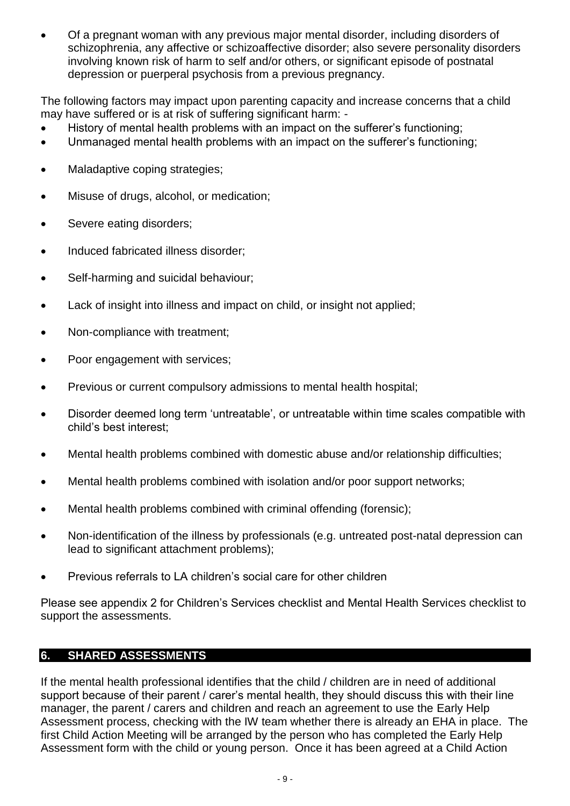• Of a pregnant woman with any previous major mental disorder, including disorders of schizophrenia, any affective or schizoaffective disorder; also severe personality disorders involving known risk of harm to self and/or others, or significant episode of postnatal depression or puerperal psychosis from a previous pregnancy.

The following factors may impact upon parenting capacity and increase concerns that a child may have suffered or is at risk of suffering significant harm: -

- History of mental health problems with an impact on the sufferer's functioning;
- Unmanaged mental health problems with an impact on the sufferer's functioning;
- Maladaptive coping strategies;
- Misuse of drugs, alcohol, or medication;
- Severe eating disorders;
- Induced fabricated illness disorder;
- Self-harming and suicidal behaviour;
- Lack of insight into illness and impact on child, or insight not applied;
- Non-compliance with treatment;
- Poor engagement with services;
- Previous or current compulsory admissions to mental health hospital;
- Disorder deemed long term 'untreatable', or untreatable within time scales compatible with child's best interest;
- Mental health problems combined with domestic abuse and/or relationship difficulties;
- Mental health problems combined with isolation and/or poor support networks;
- Mental health problems combined with criminal offending (forensic):
- Non-identification of the illness by professionals (e.g. untreated post-natal depression can lead to significant attachment problems);
- Previous referrals to LA children's social care for other children

Please see appendix 2 for Children's Services checklist and Mental Health Services checklist to support the assessments.

## <span id="page-8-0"></span>**6. SHARED ASSESSMENTS**

If the mental health professional identifies that the child / children are in need of additional support because of their parent / carer's mental health, they should discuss this with their line manager, the parent / carers and children and reach an agreement to use the Early Help Assessment process, checking with the IW team whether there is already an EHA in place. The first Child Action Meeting will be arranged by the person who has completed the Early Help Assessment form with the child or young person. Once it has been agreed at a Child Action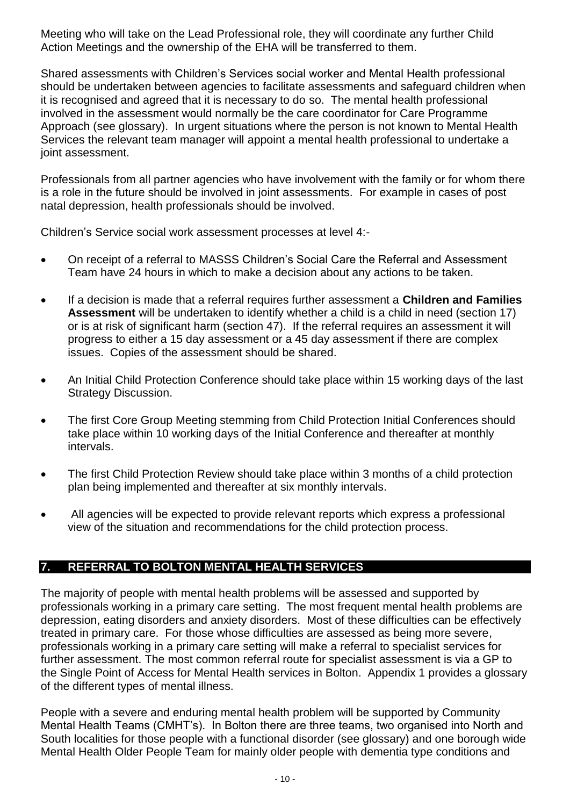Meeting who will take on the Lead Professional role, they will coordinate any further Child Action Meetings and the ownership of the EHA will be transferred to them.

Shared assessments with Children's Services social worker and Mental Health professional should be undertaken between agencies to facilitate assessments and safeguard children when it is recognised and agreed that it is necessary to do so. The mental health professional involved in the assessment would normally be the care coordinator for Care Programme Approach (see glossary). In urgent situations where the person is not known to Mental Health Services the relevant team manager will appoint a mental health professional to undertake a joint assessment.

Professionals from all partner agencies who have involvement with the family or for whom there is a role in the future should be involved in joint assessments. For example in cases of post natal depression, health professionals should be involved.

Children's Service social work assessment processes at level 4:-

- On receipt of a referral to MASSS Children's Social Care the Referral and Assessment Team have 24 hours in which to make a decision about any actions to be taken.
- If a decision is made that a referral requires further assessment a **Children and Families Assessment** will be undertaken to identify whether a child is a child in need (section 17) or is at risk of significant harm (section 47). If the referral requires an assessment it will progress to either a 15 day assessment or a 45 day assessment if there are complex issues. Copies of the assessment should be shared.
- An Initial Child Protection Conference should take place within 15 working days of the last Strategy Discussion.
- The first Core Group Meeting stemming from Child Protection Initial Conferences should take place within 10 working days of the Initial Conference and thereafter at monthly intervals.
- The first Child Protection Review should take place within 3 months of a child protection plan being implemented and thereafter at six monthly intervals.
- All agencies will be expected to provide relevant reports which express a professional view of the situation and recommendations for the child protection process.

## <span id="page-9-0"></span>**7. REFERRAL TO BOLTON MENTAL HEALTH SERVICES**

The majority of people with mental health problems will be assessed and supported by professionals working in a primary care setting. The most frequent mental health problems are depression, eating disorders and anxiety disorders. Most of these difficulties can be effectively treated in primary care. For those whose difficulties are assessed as being more severe, professionals working in a primary care setting will make a referral to specialist services for further assessment. The most common referral route for specialist assessment is via a GP to the Single Point of Access for Mental Health services in Bolton. Appendix 1 provides a glossary of the different types of mental illness.

People with a severe and enduring mental health problem will be supported by Community Mental Health Teams (CMHT's). In Bolton there are three teams, two organised into North and South localities for those people with a functional disorder (see glossary) and one borough wide Mental Health Older People Team for mainly older people with dementia type conditions and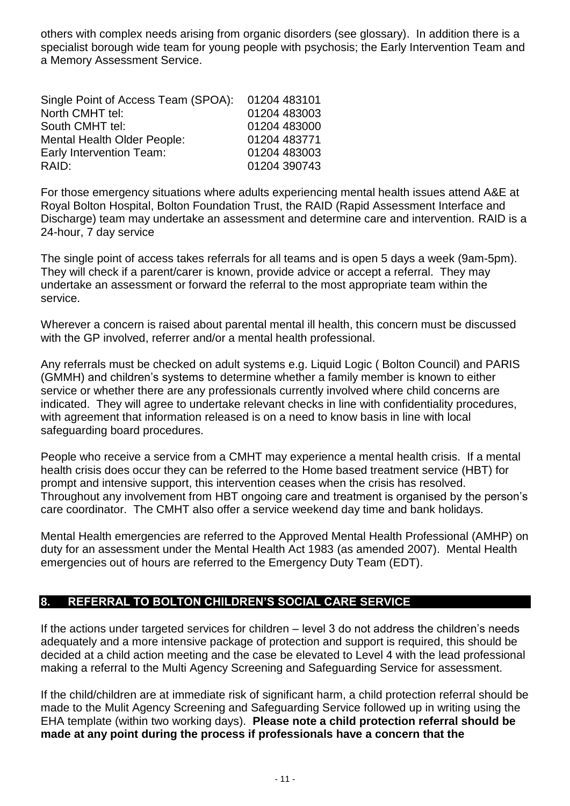others with complex needs arising from organic disorders (see glossary). In addition there is a specialist borough wide team for young people with psychosis; the Early Intervention Team and a Memory Assessment Service.

| Single Point of Access Team (SPOA): | 01204 483101 |
|-------------------------------------|--------------|
| North CMHT tel:                     | 01204 483003 |
| South CMHT tel:                     | 01204 483000 |
| <b>Mental Health Older People:</b>  | 01204 483771 |
| Early Intervention Team:            | 01204 483003 |
| RAID:                               | 01204 390743 |

For those emergency situations where adults experiencing mental health issues attend A&E at Royal Bolton Hospital, Bolton Foundation Trust, the RAID (Rapid Assessment Interface and Discharge) team may undertake an assessment and determine care and intervention. RAID is a 24-hour, 7 day service

The single point of access takes referrals for all teams and is open 5 days a week (9am-5pm). They will check if a parent/carer is known, provide advice or accept a referral. They may undertake an assessment or forward the referral to the most appropriate team within the service.

Wherever a concern is raised about parental mental ill health, this concern must be discussed with the GP involved, referrer and/or a mental health professional.

Any referrals must be checked on adult systems e.g. Liquid Logic ( Bolton Council) and PARIS (GMMH) and children's systems to determine whether a family member is known to either service or whether there are any professionals currently involved where child concerns are indicated. They will agree to undertake relevant checks in line with confidentiality procedures, with agreement that information released is on a need to know basis in line with local safeguarding board procedures.

People who receive a service from a CMHT may experience a mental health crisis. If a mental health crisis does occur they can be referred to the Home based treatment service (HBT) for prompt and intensive support, this intervention ceases when the crisis has resolved. Throughout any involvement from HBT ongoing care and treatment is organised by the person's care coordinator. The CMHT also offer a service weekend day time and bank holidays.

Mental Health emergencies are referred to the Approved Mental Health Professional (AMHP) on duty for an assessment under the Mental Health Act 1983 (as amended 2007). Mental Health emergencies out of hours are referred to the Emergency Duty Team (EDT).

## <span id="page-10-0"></span>**8. REFERRAL TO BOLTON CHILDREN'S SOCIAL CARE SERVICE**

If the actions under targeted services for children – level 3 do not address the children's needs adequately and a more intensive package of protection and support is required, this should be decided at a child action meeting and the case be elevated to Level 4 with the lead professional making a referral to the Multi Agency Screening and Safeguarding Service for assessment.

If the child/children are at immediate risk of significant harm, a child protection referral should be made to the Mulit Agency Screening and Safeguarding Service followed up in writing using the EHA template (within two working days). **Please note a child protection referral should be made at any point during the process if professionals have a concern that the**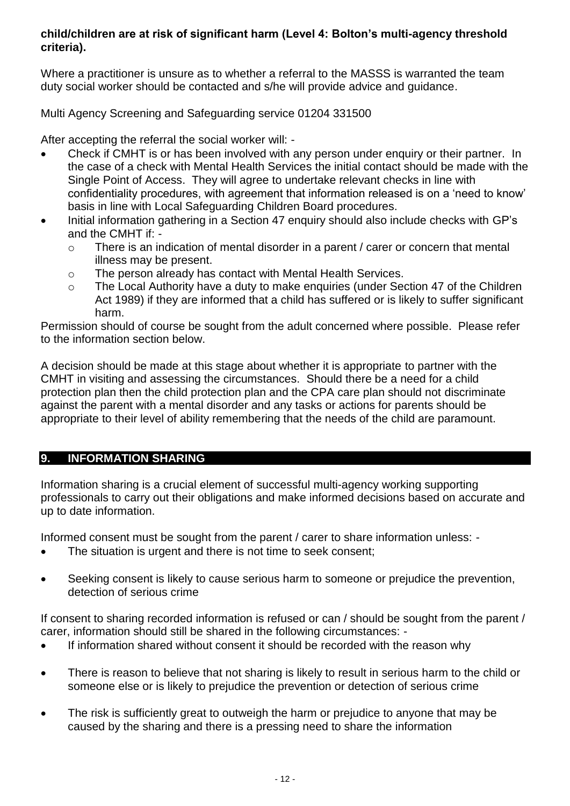## **child/children are at risk of significant harm (Level 4: Bolton's multi-agency threshold criteria).**

Where a practitioner is unsure as to whether a referral to the MASSS is warranted the team duty social worker should be contacted and s/he will provide advice and guidance.

Multi Agency Screening and Safeguarding service 01204 331500

After accepting the referral the social worker will: -

- Check if CMHT is or has been involved with any person under enquiry or their partner. In the case of a check with Mental Health Services the initial contact should be made with the Single Point of Access. They will agree to undertake relevant checks in line with confidentiality procedures, with agreement that information released is on a 'need to know' basis in line with Local Safeguarding Children Board procedures.
- Initial information gathering in a Section 47 enquiry should also include checks with GP's and the CMHT if:
	- o There is an indication of mental disorder in a parent / carer or concern that mental illness may be present.
	- o The person already has contact with Mental Health Services.
	- o The Local Authority have a duty to make enquiries (under Section 47 of the Children Act 1989) if they are informed that a child has suffered or is likely to suffer significant harm.

Permission should of course be sought from the adult concerned where possible. Please refer to the information section below.

A decision should be made at this stage about whether it is appropriate to partner with the CMHT in visiting and assessing the circumstances. Should there be a need for a child protection plan then the child protection plan and the CPA care plan should not discriminate against the parent with a mental disorder and any tasks or actions for parents should be appropriate to their level of ability remembering that the needs of the child are paramount.

## <span id="page-11-0"></span>**9. INFORMATION SHARING**

Information sharing is a crucial element of successful multi-agency working supporting professionals to carry out their obligations and make informed decisions based on accurate and up to date information.

Informed consent must be sought from the parent / carer to share information unless: -

- The situation is urgent and there is not time to seek consent;
- Seeking consent is likely to cause serious harm to someone or prejudice the prevention, detection of serious crime

If consent to sharing recorded information is refused or can / should be sought from the parent / carer, information should still be shared in the following circumstances: -

- If information shared without consent it should be recorded with the reason why
- There is reason to believe that not sharing is likely to result in serious harm to the child or someone else or is likely to prejudice the prevention or detection of serious crime
- The risk is sufficiently great to outweigh the harm or prejudice to anyone that may be caused by the sharing and there is a pressing need to share the information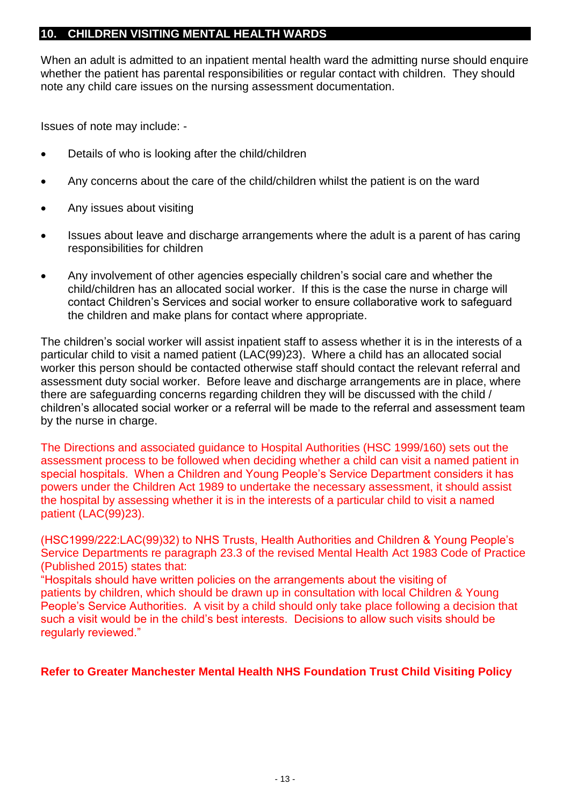## <span id="page-12-0"></span>**10. CHILDREN VISITING MENTAL HEALTH WARDS**

When an adult is admitted to an inpatient mental health ward the admitting nurse should enquire whether the patient has parental responsibilities or regular contact with children. They should note any child care issues on the nursing assessment documentation.

Issues of note may include: -

- Details of who is looking after the child/children
- Any concerns about the care of the child/children whilst the patient is on the ward
- Any issues about visiting
- Issues about leave and discharge arrangements where the adult is a parent of has caring responsibilities for children
- Any involvement of other agencies especially children's social care and whether the child/children has an allocated social worker. If this is the case the nurse in charge will contact Children's Services and social worker to ensure collaborative work to safeguard the children and make plans for contact where appropriate.

The children's social worker will assist inpatient staff to assess whether it is in the interests of a particular child to visit a named patient (LAC(99)23). Where a child has an allocated social worker this person should be contacted otherwise staff should contact the relevant referral and assessment duty social worker. Before leave and discharge arrangements are in place, where there are safeguarding concerns regarding children they will be discussed with the child / children's allocated social worker or a referral will be made to the referral and assessment team by the nurse in charge.

The Directions and associated guidance to Hospital Authorities (HSC 1999/160) sets out the assessment process to be followed when deciding whether a child can visit a named patient in special hospitals. When a Children and Young People's Service Department considers it has powers under the Children Act 1989 to undertake the necessary assessment, it should assist the hospital by assessing whether it is in the interests of a particular child to visit a named patient (LAC(99)23).

(HSC1999/222:LAC(99)32) to NHS Trusts, Health Authorities and Children & Young People's Service Departments re paragraph 23.3 of the revised Mental Health Act 1983 Code of Practice (Published 2015) states that:

"Hospitals should have written policies on the arrangements about the visiting of patients by children, which should be drawn up in consultation with local Children & Young People's Service Authorities. A visit by a child should only take place following a decision that such a visit would be in the child's best interests. Decisions to allow such visits should be regularly reviewed."

#### **Refer to Greater Manchester Mental Health NHS Foundation Trust Child Visiting Policy**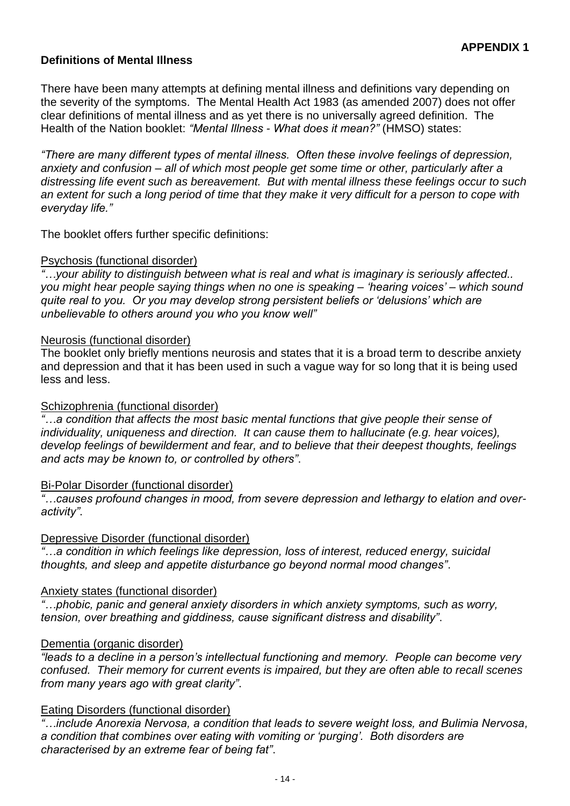## <span id="page-13-0"></span>**Definitions of Mental Illness**

There have been many attempts at defining mental illness and definitions vary depending on the severity of the symptoms. The Mental Health Act 1983 (as amended 2007) does not offer clear definitions of mental illness and as yet there is no universally agreed definition. The Health of the Nation booklet: *"Mental Illness - What does it mean?"* (HMSO) states:

*"There are many different types of mental illness. Often these involve feelings of depression, anxiety and confusion – all of which most people get some time or other, particularly after a distressing life event such as bereavement. But with mental illness these feelings occur to such an extent for such a long period of time that they make it very difficult for a person to cope with everyday life."*

The booklet offers further specific definitions:

#### Psychosis (functional disorder)

*"…your ability to distinguish between what is real and what is imaginary is seriously affected.. you might hear people saying things when no one is speaking – 'hearing voices' – which sound quite real to you. Or you may develop strong persistent beliefs or 'delusions' which are unbelievable to others around you who you know well"*

#### Neurosis (functional disorder)

The booklet only briefly mentions neurosis and states that it is a broad term to describe anxiety and depression and that it has been used in such a vague way for so long that it is being used less and less.

#### Schizophrenia (functional disorder)

*"…a condition that affects the most basic mental functions that give people their sense of individuality, uniqueness and direction. It can cause them to hallucinate (e.g. hear voices), develop feelings of bewilderment and fear, and to believe that their deepest thoughts, feelings and acts may be known to, or controlled by others"*.

#### Bi-Polar Disorder (functional disorder)

*"…causes profound changes in mood, from severe depression and lethargy to elation and overactivity"*.

#### Depressive Disorder (functional disorder)

*"…a condition in which feelings like depression, loss of interest, reduced energy, suicidal thoughts, and sleep and appetite disturbance go beyond normal mood changes"*.

#### Anxiety states (functional disorder)

*"…phobic, panic and general anxiety disorders in which anxiety symptoms, such as worry, tension, over breathing and giddiness, cause significant distress and disability"*.

#### Dementia (organic disorder)

*"leads to a decline in a person's intellectual functioning and memory. People can become very confused. Their memory for current events is impaired, but they are often able to recall scenes from many years ago with great clarity"*.

#### Eating Disorders (functional disorder)

*"…include Anorexia Nervosa, a condition that leads to severe weight loss, and Bulimia Nervosa, a condition that combines over eating with vomiting or 'purging'. Both disorders are characterised by an extreme fear of being fat"*.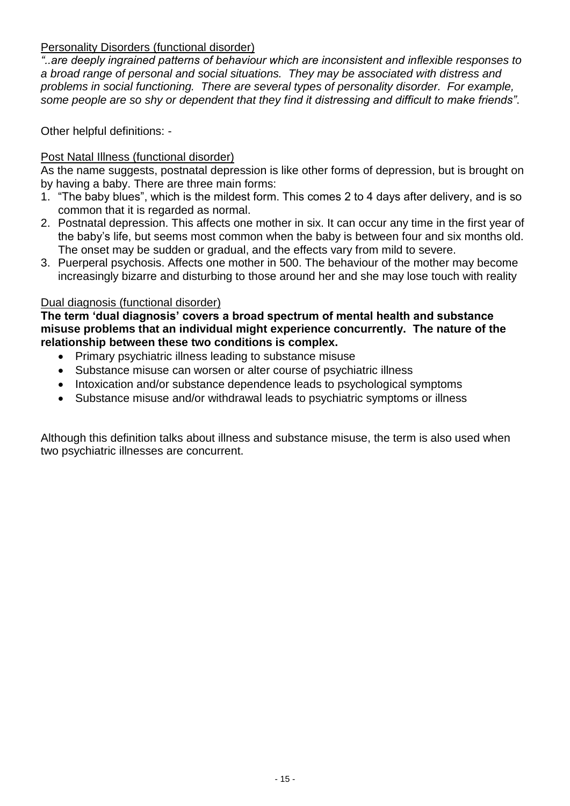## Personality Disorders (functional disorder)

*"..are deeply ingrained patterns of behaviour which are inconsistent and inflexible responses to a broad range of personal and social situations. They may be associated with distress and problems in social functioning. There are several types of personality disorder. For example, some people are so shy or dependent that they find it distressing and difficult to make friends"*.

Other helpful definitions: -

#### Post Natal Illness (functional disorder)

As the name suggests, postnatal depression is like other forms of depression, but is brought on by having a baby. There are three main forms:

- 1. "The baby blues", which is the mildest form. This comes 2 to 4 days after delivery, and is so common that it is regarded as normal.
- 2. Postnatal depression. This affects one mother in six. It can occur any time in the first year of the baby's life, but seems most common when the baby is between four and six months old. The onset may be sudden or gradual, and the effects vary from mild to severe.
- 3. Puerperal psychosis. Affects one mother in 500. The behaviour of the mother may become increasingly bizarre and disturbing to those around her and she may lose touch with reality

#### Dual diagnosis (functional disorder)

**The term 'dual diagnosis' covers a broad spectrum of mental health and substance misuse problems that an individual might experience concurrently. The nature of the relationship between these two conditions is complex.**

- Primary psychiatric illness leading to substance misuse
- Substance misuse can worsen or alter course of psychiatric illness
- Intoxication and/or substance dependence leads to psychological symptoms
- Substance misuse and/or withdrawal leads to psychiatric symptoms or illness

<span id="page-14-0"></span>Although this definition talks about illness and substance misuse, the term is also used when two psychiatric illnesses are concurrent.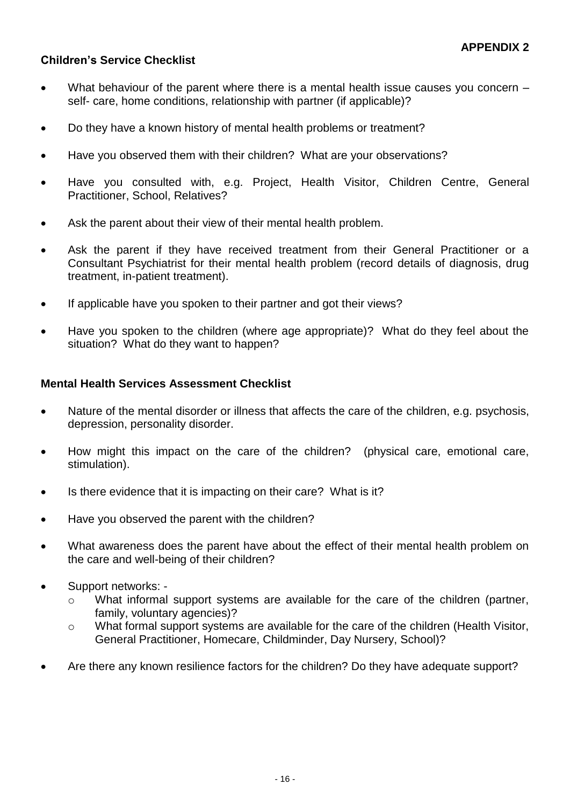## **Children's Service Checklist**

- What behaviour of the parent where there is a mental health issue causes you concern self- care, home conditions, relationship with partner (if applicable)?
- Do they have a known history of mental health problems or treatment?
- Have you observed them with their children? What are your observations?
- Have you consulted with, e.g. Project, Health Visitor, Children Centre, General Practitioner, School, Relatives?
- Ask the parent about their view of their mental health problem.
- Ask the parent if they have received treatment from their General Practitioner or a Consultant Psychiatrist for their mental health problem (record details of diagnosis, drug treatment, in-patient treatment).
- If applicable have you spoken to their partner and got their views?
- Have you spoken to the children (where age appropriate)? What do they feel about the situation? What do they want to happen?

#### **Mental Health Services Assessment Checklist**

- Nature of the mental disorder or illness that affects the care of the children, e.g. psychosis, depression, personality disorder.
- How might this impact on the care of the children? (physical care, emotional care, stimulation).
- Is there evidence that it is impacting on their care? What is it?
- Have you observed the parent with the children?
- What awareness does the parent have about the effect of their mental health problem on the care and well-being of their children?
- Support networks:
	- o What informal support systems are available for the care of the children (partner, family, voluntary agencies)?
	- o What formal support systems are available for the care of the children (Health Visitor, General Practitioner, Homecare, Childminder, Day Nursery, School)?
- Are there any known resilience factors for the children? Do they have adequate support?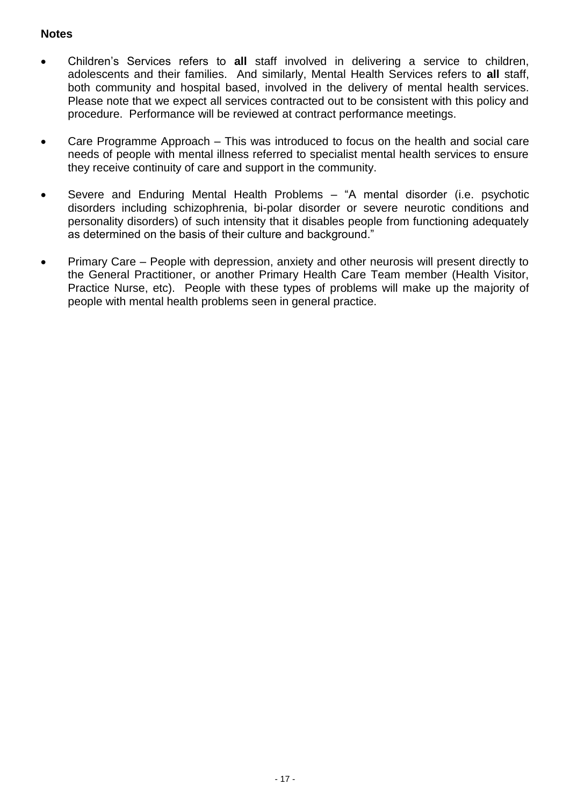## **Notes**

- Children's Services refers to **all** staff involved in delivering a service to children, adolescents and their families. And similarly, Mental Health Services refers to **all** staff, both community and hospital based, involved in the delivery of mental health services. Please note that we expect all services contracted out to be consistent with this policy and procedure. Performance will be reviewed at contract performance meetings.
- Care Programme Approach This was introduced to focus on the health and social care needs of people with mental illness referred to specialist mental health services to ensure they receive continuity of care and support in the community.
- Severe and Enduring Mental Health Problems "A mental disorder (i.e. psychotic disorders including schizophrenia, bi-polar disorder or severe neurotic conditions and personality disorders) of such intensity that it disables people from functioning adequately as determined on the basis of their culture and background."
- Primary Care People with depression, anxiety and other neurosis will present directly to the General Practitioner, or another Primary Health Care Team member (Health Visitor, Practice Nurse, etc). People with these types of problems will make up the majority of people with mental health problems seen in general practice.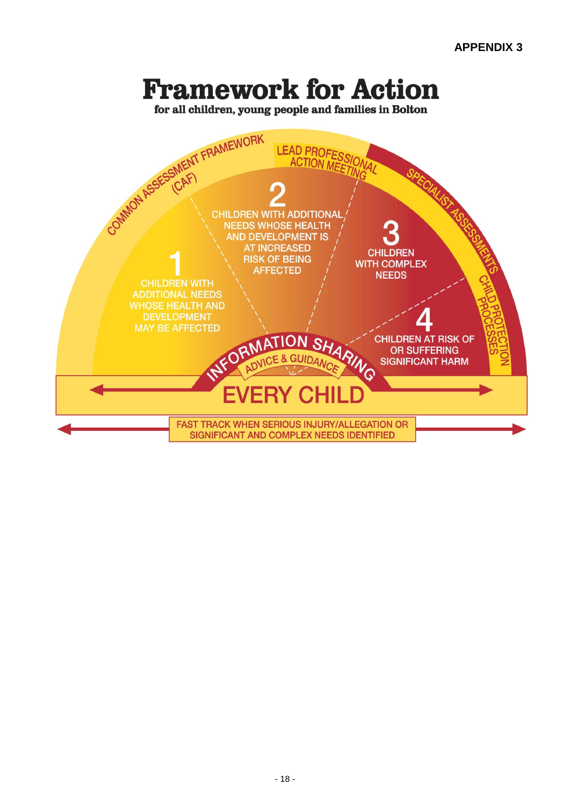# **Framework for Action**

for all children, young people and families in Bolton

<span id="page-17-0"></span>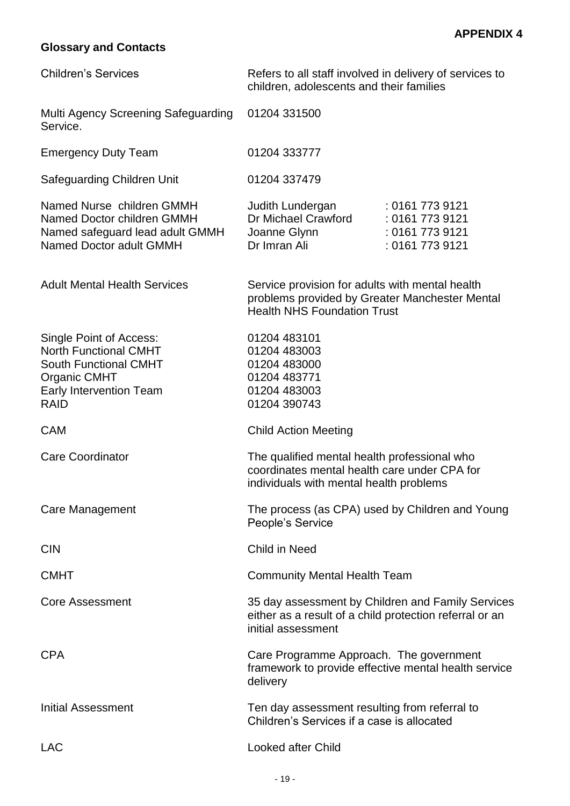## **Glossary and Contacts**

| <b>Children's Services</b>                                                                                                                               | Refers to all staff involved in delivery of services to<br>children, adolescents and their families                                     |                                                                          |
|----------------------------------------------------------------------------------------------------------------------------------------------------------|-----------------------------------------------------------------------------------------------------------------------------------------|--------------------------------------------------------------------------|
| Multi Agency Screening Safeguarding<br>Service.                                                                                                          | 01204 331500                                                                                                                            |                                                                          |
| <b>Emergency Duty Team</b>                                                                                                                               | 01204 333777                                                                                                                            |                                                                          |
| Safeguarding Children Unit                                                                                                                               | 01204 337479                                                                                                                            |                                                                          |
| Named Nurse children GMMH<br>Named Doctor children GMMH<br>Named safeguard lead adult GMMH<br>Named Doctor adult GMMH                                    | Judith Lundergan<br>Dr Michael Crawford<br>Joanne Glynn<br>Dr Imran Ali                                                                 | : 0161 773 9121<br>: 0161 773 9121<br>: 0161 773 9121<br>: 0161 773 9121 |
| <b>Adult Mental Health Services</b>                                                                                                                      | Service provision for adults with mental health<br>problems provided by Greater Manchester Mental<br><b>Health NHS Foundation Trust</b> |                                                                          |
| Single Point of Access:<br><b>North Functional CMHT</b><br><b>South Functional CMHT</b><br><b>Organic CMHT</b><br>Early Intervention Team<br><b>RAID</b> | 01204 483101<br>01204 483003<br>01204 483000<br>01204 483771<br>01204 483003<br>01204 390743                                            |                                                                          |
| <b>CAM</b>                                                                                                                                               | <b>Child Action Meeting</b>                                                                                                             |                                                                          |
| <b>Care Coordinator</b>                                                                                                                                  | The qualified mental health professional who<br>coordinates mental health care under CPA for<br>individuals with mental health problems |                                                                          |
| <b>Care Management</b>                                                                                                                                   | The process (as CPA) used by Children and Young<br>People's Service                                                                     |                                                                          |
| <b>CIN</b>                                                                                                                                               | Child in Need                                                                                                                           |                                                                          |
| <b>CMHT</b>                                                                                                                                              | <b>Community Mental Health Team</b>                                                                                                     |                                                                          |
| <b>Core Assessment</b>                                                                                                                                   | 35 day assessment by Children and Family Services<br>either as a result of a child protection referral or an<br>initial assessment      |                                                                          |
| <b>CPA</b>                                                                                                                                               | Care Programme Approach. The government<br>framework to provide effective mental health service<br>delivery                             |                                                                          |
| <b>Initial Assessment</b>                                                                                                                                | Ten day assessment resulting from referral to<br>Children's Services if a case is allocated                                             |                                                                          |
| <b>LAC</b>                                                                                                                                               | <b>Looked after Child</b>                                                                                                               |                                                                          |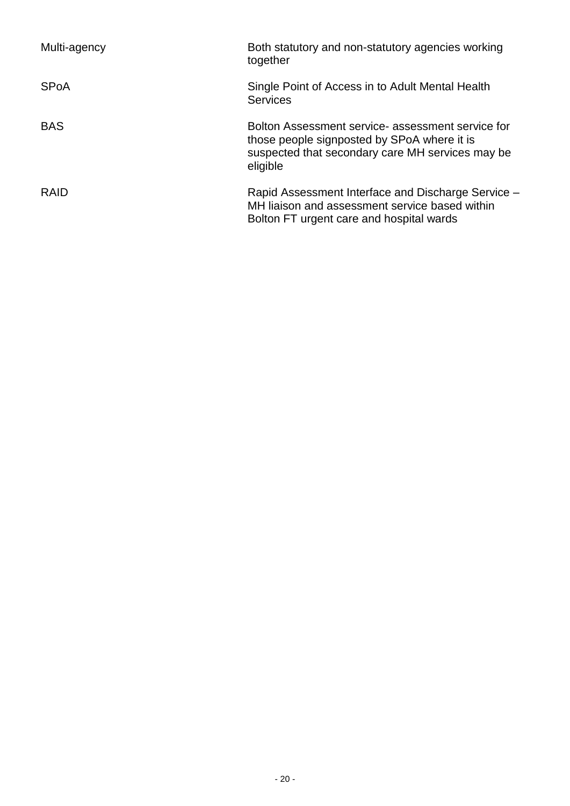| Multi-agency | Both statutory and non-statutory agencies working<br>together                                                                                                    |
|--------------|------------------------------------------------------------------------------------------------------------------------------------------------------------------|
| <b>SPoA</b>  | Single Point of Access in to Adult Mental Health<br><b>Services</b>                                                                                              |
| <b>BAS</b>   | Bolton Assessment service- assessment service for<br>those people signposted by SPoA where it is<br>suspected that secondary care MH services may be<br>eligible |
| <b>RAID</b>  | Rapid Assessment Interface and Discharge Service -<br>MH liaison and assessment service based within<br>Bolton FT urgent care and hospital wards                 |